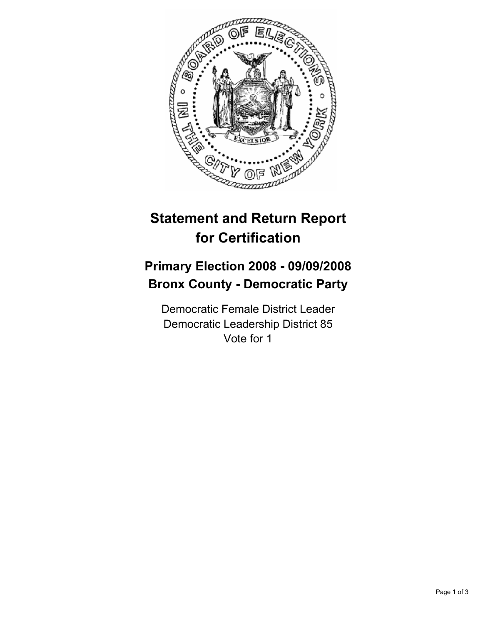

## **Statement and Return Report for Certification**

## **Primary Election 2008 - 09/09/2008 Bronx County - Democratic Party**

Democratic Female District Leader Democratic Leadership District 85 Vote for 1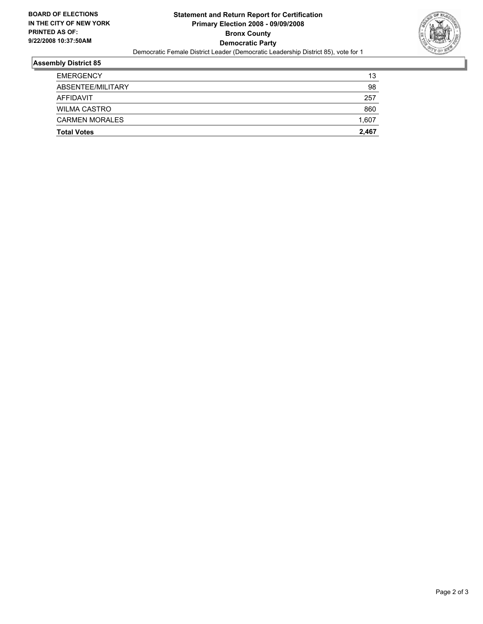

## **Assembly District 85**

| <b>Total Votes</b>    | 2,467 |
|-----------------------|-------|
| <b>CARMEN MORALES</b> | 1,607 |
| <b>WILMA CASTRO</b>   | 860   |
| AFFIDAVIT             | 257   |
| ABSENTEE/MILITARY     | 98    |
| <b>EMERGENCY</b>      | 13    |